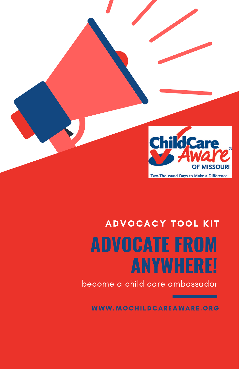

## **ADVOCATE FROM ANYWHERE!** ADVOCACY TOOL KIT

become a child care ambassador

WWW.MOCHILDCAREAWARE.ORG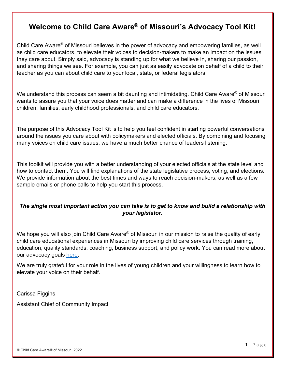### <span id="page-1-0"></span>**Welcome to Child Care Aware® of Missouri's Advocacy Tool Kit!**

Child Care Aware® of Missouri believes in the power of advocacy and empowering families, as well as child care educators, to elevate their voices to decision-makers to make an impact on the issues they care about. Simply said, advocacy is standing up for what we believe in, sharing our passion, and sharing things we see. For example, you can just as easily advocate on behalf of a child to their teacher as you can about child care to your local, state, or federal legislators.

We understand this process can seem a bit daunting and intimidating. Child Care Aware<sup>®</sup> of Missouri wants to assure you that your voice does matter and can make a difference in the lives of Missouri children, families, early childhood professionals, and child care educators.

The purpose of this Advocacy Tool Kit is to help you feel confident in starting powerful conversations around the issues you care about with policymakers and elected officials. By combining and focusing many voices on child care issues, we have a much better chance of leaders listening.

This toolkit will provide you with a better understanding of your elected officials at the state level and how to contact them. You will find explanations of the state legislative process, voting, and elections. We provide information about the best times and ways to reach decision-makers, as well as a few sample emails or phone calls to help you start this process.

#### *The single most important action you can take is to get to know and build a relationship with your legislator.*

We hope you will also join Child Care Aware<sup>®</sup> of Missouri in our mission to raise the quality of early child care educational experiences in Missouri by improving child care services through training, education, quality standards, coaching, business support, and policy work. You can read more about our advocacy goals [here.](https://mochildcareaware.org/wp-content/uploads/2022/03/Advocacy-Focus-on-Letterhead.pdf)

We are truly grateful for your role in the lives of young children and your willingness to learn how to elevate your voice on their behalf.

Carissa Figgins

Assistant Chief of Community Impact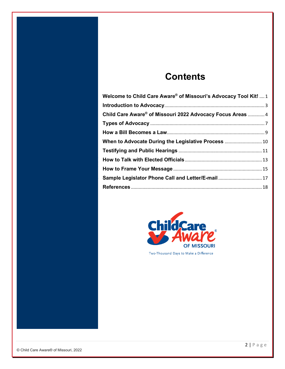## **Contents**

| Welcome to Child Care Aware® of Missouri's Advocacy Tool Kit!  1 |  |
|------------------------------------------------------------------|--|
|                                                                  |  |
| Child Care Aware® of Missouri 2022 Advocacy Focus Areas  4       |  |
|                                                                  |  |
|                                                                  |  |
| When to Advocate During the Legislative Process  10              |  |
|                                                                  |  |
|                                                                  |  |
|                                                                  |  |
| Sample Legislator Phone Call and Letter/E-mail 17                |  |
|                                                                  |  |



Two-Thousand Days to Make a Difference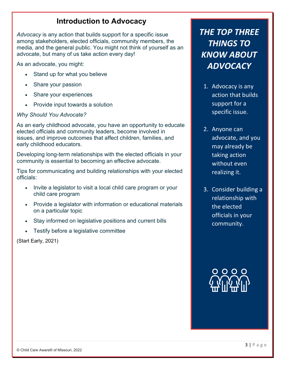## **Introduction to Advocacy**

<span id="page-3-0"></span>*Advocacy* is any action that builds support for a specific issue among stakeholders, elected officials, community members, the media, and the general public. You might not think of yourself as an advocate, but many of us take action every day!

As an advocate, you might:

- Stand up for what you believe
- Share your passion
- Share your experiences
- Provide input towards a solution

#### *Why Should You Advocate?*

As an early childhood advocate, you have an opportunity to educate elected officials and community leaders, become involved in issues, and improve outcomes that affect children, families, and early childhood educators.

Developing long-term relationships with the elected officials in your community is essential to becoming an effective advocate.

Tips for communicating and building relationships with your elected officials:

- Invite a legislator to visit a local child care program or your child care program
- Provide a legislator with information or educational materials on a particular topic
- Stay informed on legislative positions and current bills
- Testify before a legislative committee

(Start Early, 2021)

## *THE TOP THREE THINGS TO KNOW ABOUT ADVOCACY*

- 1. Advocacy is any action that builds support for a specific issue.
- 2. Anyone can advocate, and you may already be taking action without even realizing it.
- 3. Consider building a relationship with the elected officials in your community.

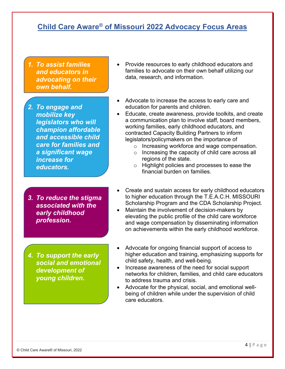## <span id="page-4-0"></span>**Child Care Aware® of Missouri 2022 Advocacy Focus Areas**

*1. To assist families and educators in advocating on their own behalf.*

*2. To engage and mobilize key legislators who will champion affordable and accessible child care for families and a significant wage increase for educators.* 

- *3. To reduce the stigma associated with the early childhood profession.*
- *4. To support the early social and emotional development of young children.*
- Provide resources to early childhood educators and families to advocate on their own behalf utilizing our data, research, and information.
- Advocate to increase the access to early care and education for parents and children.
- Educate, create awareness, provide toolkits, and create a communication plan to involve staff, board members, working families, early childhood educators, and contracted Capacity Building Partners to inform legislators/policymakers on the importance of
	- o Increasing workforce and wage compensation.
	- o Increasing the capacity of child care across all regions of the state.
	- o Highlight policies and processes to ease the financial burden on families.
- Create and sustain access for early childhood educators to higher education through the T.E.A.C.H. MISSOURI Scholarship Program and the CDA Scholarship Project.
- Maintain the involvement of decision-makers by elevating the public profile of the child care workforce and wage compensation by disseminating information on achievements within the early childhood workforce.
- Advocate for ongoing financial support of access to higher education and training, emphasizing supports for child safety, health, and well-being.
- Increase awareness of the need for social support networks for children, families, and child care educators to address trauma and crisis.
- Advocate for the physical, social, and emotional wellbeing of children while under the supervision of child care educators.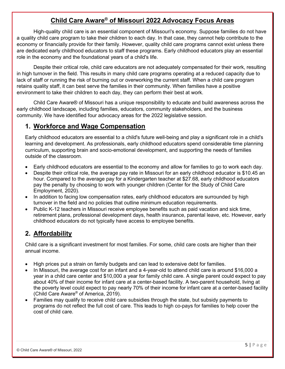#### **Child Care Aware® of Missouri 2022 Advocacy Focus Areas**

High-quality child care is an essential component of Missouri's economy. Suppose families do not have a quality child care program to take their children to each day. In that case, they cannot help contribute to the economy or financially provide for their family. However, quality child care programs cannot exist unless there are dedicated early childhood educators to staff these programs. Early childhood educators play an essential role in the economy and the foundational years of a child's life.

Despite their critical role, child care educators are not adequately compensated for their work, resulting in high turnover in the field. This results in many child care programs operating at a reduced capacity due to lack of staff or running the risk of burning out or overworking the current staff. When a child care program retains quality staff, it can best serve the families in their community. When families have a positive environment to take their children to each day, they can perform their best at work.

Child Care Aware® of Missouri has a unique responsibility to educate and build awareness across the early childhood landscape, including families, educators, community stakeholders, and the business community. We have identified four advocacy areas for the 2022 legislative session.

#### **1. Workforce and Wage Compensation**

Early childhood educators are essential to a child's future well-being and play a significant role in a child's learning and development. As professionals, early childhood educators spend considerable time planning curriculum, supporting brain and socio-emotional development, and supporting the needs of families outside of the classroom.

- Early childhood educators are essential to the economy and allow for families to go to work each day.
- Despite their critical role, the average pay rate in Missouri for an early childhood educator is \$10.45 an hour. Compared to the average pay for a Kindergarten teacher at \$27.68, early childhood educators pay the penalty by choosing to work with younger children (Center for the Study of Child Care Employment, 2020).
- In addition to facing low compensation rates, early childhood educators are surrounded by high turnover in the field and no policies that outline minimum education requirements.
- Public K-12 teachers in Missouri receive employee benefits such as paid vacation and sick time, retirement plans, professional development days, health insurance, parental leave, etc. However, early childhood educators do not typically have access to employee benefits.

#### **2. Affordability**

Child care is a significant investment for most families. For some, child care costs are higher than their annual income.

- High prices put a strain on family budgets and can lead to extensive debt for families.
- In Missouri, the average cost for an infant and a 4-year-old to attend child care is around \$16,000 a year in a child care center and \$10,000 a year for family child care. A single parent could expect to pay about 40% of their income for infant care at a center-based facility. A two-parent household, living at the poverty level could expect to pay nearly 70% of their income for infant care at a center-based facility (Child Care Aware® of America, 2019).
- Families may qualify to receive child care subsidies through the state, but subsidy payments to programs do not reflect the full cost of care. This leads to high co-pays for families to help cover the cost of child care.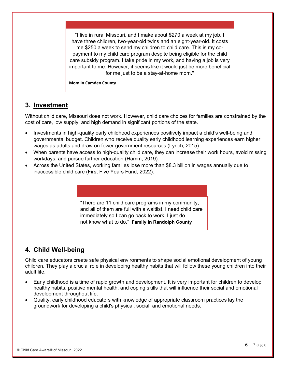"I live in rural Missouri, and I make about \$270 a week at my job. I have three children, two-year-old twins and an eight-year-old. It costs me \$250 a week to send my children to child care. This is my copayment to my child care program despite being eligible for the child care subsidy program. I take pride in my work, and having a job is very important to me. However, it seems like it would just be more beneficial for me just to be a stay-at-home mom."

**Mom In Camden County** 

#### **3. Investment**

Without child care, Missouri does not work. However, child care choices for families are constrained by the cost of care, low supply, and high demand in significant portions of the state.

- Investments in high-quality early childhood experiences positively impact a child's well-being and governmental budget. Children who receive quality early childhood learning experiences earn higher wages as adults and draw on fewer government resources (Lynch, 2015).
- When parents have access to high-quality child care, they can increase their work hours, avoid missing workdays, and pursue further education (Hamm, 2019).
- Across the United States, working families lose more than \$8.3 billion in wages annually due to inaccessible child care (First Five Years Fund, 2022).

"There are 11 child care programs in my community, and all of them are full with a waitlist. I need child care immediately so I can go back to work. I just do not know what to do." **Family in Randolph County**

#### **4. Child Well-being**

Child care educators create safe physical environments to shape social emotional development of young children. They play a crucial role in developing healthy habits that will follow these young children into their adult life.

- Early childhood is a time of rapid growth and development. It is very important for children to develop healthy habits, positive mental health, and coping skills that will influence their social and emotional development throughout life.
- Quality, early childhood educators with knowledge of appropriate classroom practices lay the groundwork for developing a child's physical, social, and emotional needs.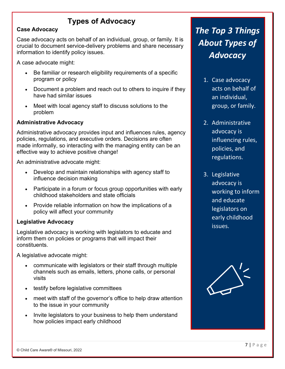## **Types of Advocacy**

#### <span id="page-7-0"></span>**Case Advocacy**

Case advocacy acts on behalf of an individual, group, or family. It is crucial to document service-delivery problems and share necessary information to identify policy issues.

A case advocate might:

- Be familiar or research eligibility requirements of a specific program or policy
- Document a problem and reach out to others to inquire if they have had similar issues
- Meet with local agency staff to discuss solutions to the problem

#### **Administrative Advocacy**

Administrative advocacy provides input and influences rules, agency policies, regulations, and executive orders. Decisions are often made informally, so interacting with the managing entity can be an effective way to achieve positive change!

An administrative advocate might:

- Develop and maintain relationships with agency staff to influence decision making
- Participate in a forum or focus group opportunities with early childhood stakeholders and state officials
- Provide reliable information on how the implications of a policy will affect your community

#### **Legislative Advocacy**

Legislative advocacy is working with legislators to educate and inform them on policies or programs that will impact their constituents.

A legislative advocate might:

- communicate with legislators or their staff through multiple channels such as emails, letters, phone calls, or personal visits
- testify before legislative committees
- meet with staff of the governor's office to help draw attention to the issue in your community
- Invite legislators to your business to help them understand how policies impact early childhood

## *The Top 3 Things About Types of Advocacy*

- 1. Case advocacy acts on behalf of an individual, group, or family.
- 2. Administrative advocacy is influencing rules, policies, and regulations.
- 3. Legislative advocacy is working to inform and educate legislators on early childhood issues.

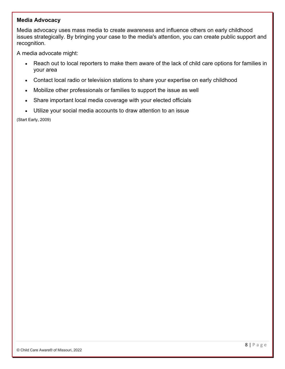#### **Media Advocacy**

Media advocacy uses mass media to create awareness and influence others on early childhood issues strategically. By bringing your case to the media's attention, you can create public support and recognition.

A media advocate might:

- Reach out to local reporters to make them aware of the lack of child care options for families in your area
- Contact local radio or television stations to share your expertise on early childhood
- Mobilize other professionals or families to support the issue as well
- Share important local media coverage with your elected officials
- Utilize your social media accounts to draw attention to an issue

(Start Early, 2009)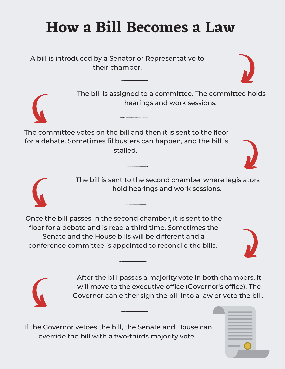# **How a Bill Becomes a Law**

A bill is introduced by a Senator or Representative to their chamber.

> The bill is assigned to a committee. The committee holds hearings and work sessions.

The committee votes on the bill and then it is sent to the floor for a debate. Sometimes filibusters can happen, and the bill is stalled.

> The bill is sent to the second chamber where legislators hold hearings and work sessions.

Once the bill passes in the second chamber, it is sent to the floor for a debate and is read a third time. Sometimes the Senate and the House bills will be different and a conference committee is appointed to reconcile the bills.

> After the bill passes a majority vote in both chambers, it will move to the executive office (Governor's office). The Governor can either sign the bill into a law or veto the bill.

If the Governor vetoes the bill, the Senate and House can override the bill with a two-thirds majority vote.







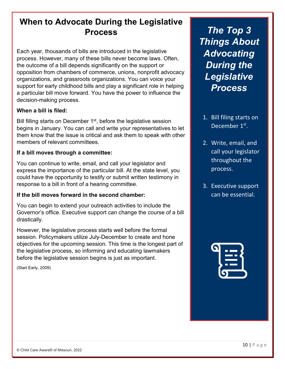## **When to Advocate During the Legislative Process**

Each year, thousands of bills are introduced in the legislative process. However, many of these bills never become laws. Often, the outcome of a bill depends significantly on the support or opposition from chambers of commerce, unions, nonprofit advocacy organizations, and grassroots organizations. You can voice your support for early childhood bills and play a significant role in helping a particular bill move forward. You have the power to influence the decision-making process.

#### **When a bill is filed:**

Bill filling starts on December 1<sup>st</sup>, before the legislative session begins in January. You can call and write your representatives to let them know that the issue is critical and ask them to speak with other members of relevant committees.

#### **If a bill moves through a committee:**

You can continue to write, email, and call your legislator and express the importance of the particular bill. At the state level, you could have the opportunity to testify or submit written testimony in response to a bill in front of a hearing committee.

#### **If the bill moves forward in the second chamber:**

You can begin to extend your outreach activities to include the Governor's office. Executive support can change the course of a bill drastically.

However, the legislative process starts well before the formal session. Policymakers utilize July-December to create and hone objectives for the upcoming session. This time is the longest part of the legislative process, so informing and educating lawmakers before the legislative session begins is just as important.

(Start Early, 2009)

*The Top 3 Things About Advocating During the Legislative Process*

- 1. Bill filing starts on December 1<sup>st</sup>.
- 2. Write, email, and call your legislator throughout the process.
- 3. Executive support can be essential.

| فر |  |
|----|--|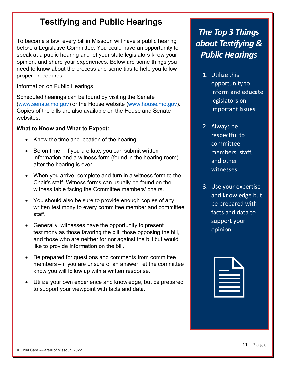## **Testifying and Public Hearings**

To become a law, every bill in Missouri will have a public hearing before a Legislative Committee. You could have an opportunity to speak at a public hearing and let your state legislators know your opinion, and share your experiences. Below are some things you need to know about the process and some tips to help you follow proper procedures.

Information on Public Hearings:

Scheduled hearings can be found by visiting the Senate [\(www.senate.mo.gov\)](http://www.senate.mo.gov/) or the House website [\(www.house.mo.gov\)](http://www.house.mo.gov/). Copies of the bills are also available on the House and Senate websites.

#### **What to Know and What to Expect:**

- Know the time and location of the hearing
- Be on time  $-$  if you are late, you can submit written information and a witness form (found in the hearing room) after the hearing is over.
- When you arrive, complete and turn in a witness form to the Chair's staff. Witness forms can usually be found on the witness table facing the Committee members' chairs.
- You should also be sure to provide enough copies of any written testimony to every committee member and committee staff.
- Generally, witnesses have the opportunity to present testimony as those favoring the bill, those opposing the bill, and those who are neither for nor against the bill but would like to provide information on the bill.
- Be prepared for questions and comments from committee members – if you are unsure of an answer, let the committee know you will follow up with a written response.
- Utilize your own experience and knowledge, but be prepared to support your viewpoint with facts and data.

## *The Top 3 Things about Testifying & Public Hearings*

- 1. Utilize this opportunity to inform and educate legislators on important issues.
- 2. Always be respectful to committee members, staff, and other witnesses.
- 3. Use your expertise and knowledge but be prepared with facts and data to support your opinion.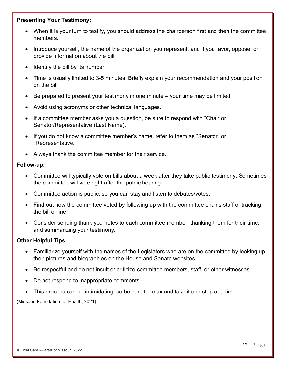#### **Presenting Your Testimony:**

- When it is your turn to testify, you should address the chairperson first and then the committee members.
- Introduce yourself, the name of the organization you represent, and if you favor, oppose, or provide information about the bill.
- Identify the bill by its number.
- Time is usually limited to 3-5 minutes. Briefly explain your recommendation and your position on the bill.
- Be prepared to present your testimony in one minute your time may be limited.
- Avoid using acronyms or other technical languages.
- If a committee member asks you a question, be sure to respond with "Chair or Senator/Representative (Last Name).
- If you do not know a committee member's name, refer to them as "Senator" or "Representative."
- Always thank the committee member for their service.

#### **Follow-up:**

- Committee will typically vote on bills about a week after they take public testimony. Sometimes the committee will vote right after the public hearing.
- Committee action is public, so you can stay and listen to debates/votes.
- Find out how the committee voted by following up with the committee chair's staff or tracking the bill online.
- Consider sending thank you notes to each committee member, thanking them for their time, and summarizing your testimony.

#### **Other Helpful Tips**:

- Familiarize yourself with the names of the Legislators who are on the committee by looking up their pictures and biographies on the House and Senate websites.
- Be respectful and do not insult or criticize committee members, staff, or other witnesses.
- Do not respond to inappropriate comments.
- This process can be intimidating, so be sure to relax and take it one step at a time.

(Missouri Foundation for Health, 2021)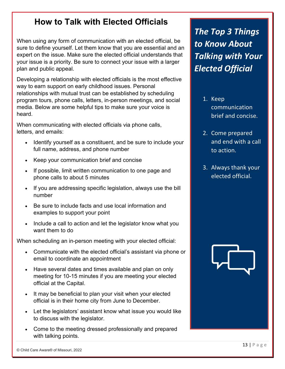## **How to Talk with Elected Officials**

When using any form of communication with an elected official, be sure to define yourself. Let them know that you are essential and an expert on the issue. Make sure the elected official understands that your issue is a priority. Be sure to connect your issue with a larger plan and public appeal.

Developing a relationship with elected officials is the most effective way to earn support on early childhood issues. Personal relationships with mutual trust can be established by scheduling program tours, phone calls, letters, in-person meetings, and social media. Below are some helpful tips to make sure your voice is heard.

When communicating with elected officials via phone calls, letters, and emails:

- Identify yourself as a constituent, and be sure to include your full name, address, and phone number
- Keep your communication brief and concise
- If possible, limit written communication to one page and phone calls to about 5 minutes
- If you are addressing specific legislation, always use the bill number
- Be sure to include facts and use local information and examples to support your point
- Include a call to action and let the legislator know what you want them to do

When scheduling an in-person meeting with your elected official:

- Communicate with the elected official's assistant via phone or email to coordinate an appointment
- Have several dates and times available and plan on only meeting for 10-15 minutes if you are meeting your elected official at the Capital.
- It may be beneficial to plan your visit when your elected official is in their home city from June to December.
- Let the legislators' assistant know what issue you would like to discuss with the legislator.
- Come to the meeting dressed professionally and prepared with talking points.

*The Top 3 Things to Know About Talking with Your Elected Official*

- 1. Keep communication brief and concise.
- 2. Come prepared and end with a call to action.
- 3. Always thank your elected official.

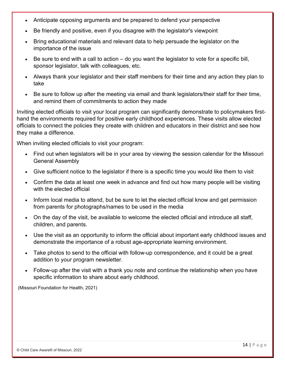- Anticipate opposing arguments and be prepared to defend your perspective
- Be friendly and positive, even if you disagree with the legislator's viewpoint
- Bring educational materials and relevant data to help persuade the legislator on the importance of the issue
- Be sure to end with a call to action  $-$  do you want the legislator to vote for a specific bill, sponsor legislator, talk with colleagues, etc.
- Always thank your legislator and their staff members for their time and any action they plan to take
- Be sure to follow up after the meeting via email and thank legislators/their staff for their time, and remind them of commitments to action they made

Inviting elected officials to visit your local program can significantly demonstrate to policymakers firsthand the environments required for positive early childhood experiences. These visits allow elected officials to connect the policies they create with children and educators in their district and see how they make a difference.

When inviting elected officials to visit your program:

- Find out when legislators will be in your area by viewing the session calendar for the Missouri General Assembly
- Give sufficient notice to the legislator if there is a specific time you would like them to visit
- Confirm the data at least one week in advance and find out how many people will be visiting with the elected official
- Inform local media to attend, but be sure to let the elected official know and get permission from parents for photographs/names to be used in the media
- On the day of the visit, be available to welcome the elected official and introduce all staff, children, and parents.
- Use the visit as an opportunity to inform the official about important early childhood issues and demonstrate the importance of a robust age-appropriate learning environment.
- Take photos to send to the official with follow-up correspondence, and it could be a great addition to your program newsletter.
- Follow-up after the visit with a thank you note and continue the relationship when you have specific information to share about early childhood.

(Missouri Foundation for Health, 2021)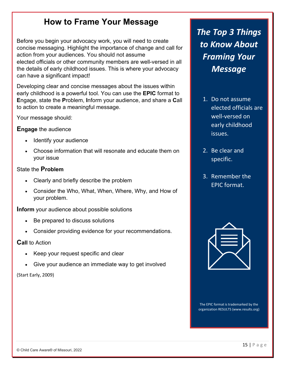## **How to Frame Your Message**

Before you begin your advocacy work, you will need to create concise messaging. Highlight the importance of change and call for action from your audiences. You should not assume elected officials or other community members are well-versed in all the details of early childhood issues. This is where your advocacy can have a significant impact!

Developing clear and concise messages about the issues within early childhood is a powerful tool. You can use the **EPIC** format to **E**ngage, state the **P**roblem, **I**nform your audience, and share a **C**all to action to create a meaningful message.

Your message should:

#### **Engage** the audience

- Identify your audience
- Choose information that will resonate and educate them on your issue

#### State the **Problem**

- Clearly and briefly describe the problem
- Consider the Who, What, When, Where, Why, and How of your problem.

**Inform** your audience about possible solutions

- Be prepared to discuss solutions
- Consider providing evidence for your recommendations.

#### **Call** to Action

- Keep your request specific and clear
- Give your audience an immediate way to get involved

#### (Start Early, 2009)

*The Top 3 Things to Know About Framing Your Message*

- 1. Do not assume elected officials are well-versed on early childhood issues.
- 2. Be clear and specific.
- 3. Remember the EPIC format.



The EPIC format is trademarked by the organization RESULTS (www.results.org)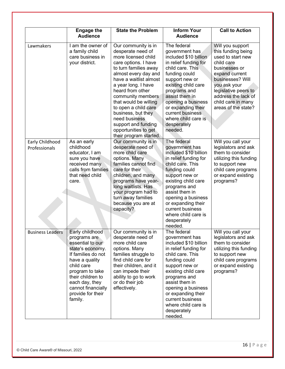|                                  | <b>Engage the</b><br><b>Audience</b>                                                                                                                                                                                                          | <b>State the Problem</b>                                                                                                                                                                                                                                                                                                                                                                            | <b>Inform Your</b><br><b>Audience</b>                                                                                                                                                                                                                                                                            | <b>Call to Action</b>                                                                                                                                                                                                                        |
|----------------------------------|-----------------------------------------------------------------------------------------------------------------------------------------------------------------------------------------------------------------------------------------------|-----------------------------------------------------------------------------------------------------------------------------------------------------------------------------------------------------------------------------------------------------------------------------------------------------------------------------------------------------------------------------------------------------|------------------------------------------------------------------------------------------------------------------------------------------------------------------------------------------------------------------------------------------------------------------------------------------------------------------|----------------------------------------------------------------------------------------------------------------------------------------------------------------------------------------------------------------------------------------------|
| Lawmakers                        | I am the owner of<br>a family child<br>care business in<br>your district.                                                                                                                                                                     | Our community is in<br>desperate need of<br>more licensed child<br>care options. I have<br>to turn families away<br>almost every day and<br>have a waitlist almost<br>a year long. I have<br>heard from other<br>community members<br>that would be willing<br>to open a child care<br>business, but they<br>need business<br>support and funding<br>opportunities to get<br>their program started. | The federal<br>government has<br>included \$10 billion<br>in relief funding for<br>child care. This<br>funding could<br>support new or<br>existing child care<br>programs and<br>assist them in<br>opening a business<br>or expanding their<br>current business<br>where child care is<br>desperately<br>needed. | Will you support<br>this funding being<br>used to start new<br>child care<br>businesses or<br>expand current<br>businesses? Will<br>you ask your<br>legislative peers to<br>address the lack of<br>child care in many<br>areas of the state? |
| Early Childhood<br>Professionals | As an early<br>childhood<br>educator, I am<br>sure you have<br>received many<br>calls from families<br>that need child<br>care.                                                                                                               | Our community is in<br>desperate need of<br>more child care<br>options. Many<br>families cannot find<br>care for their<br>children, and many<br>programs have year-<br>long waitlists. Has<br>your program had to<br>turn away families<br>because you are at<br>capacity?                                                                                                                          | The federal<br>government has<br>included \$10 billion<br>in relief funding for<br>child care. This<br>funding could<br>support new or<br>existing child care<br>programs and<br>assist them in<br>opening a business<br>or expanding their<br>current business<br>where child care is<br>desperately<br>needed. | Will you call your<br>legislators and ask<br>them to consider<br>utilizing this funding<br>to support new<br>child care programs<br>or expand existing<br>programs?                                                                          |
| <b>Business Leaders</b>          | Early childhood<br>programs are<br>essential to our<br>state's economy.<br>If families do not<br>have a quality<br>child care<br>program to take<br>their children to<br>each day, they<br>cannot financially<br>provide for their<br>family. | Our community is in<br>desperate need of<br>more child care<br>options. Many<br>families struggle to<br>find child care for<br>their children, and it<br>can impede their<br>ability to go to work<br>or do their job<br>effectively.                                                                                                                                                               | The federal<br>government has<br>included \$10 billion<br>in relief funding for<br>child care. This<br>funding could<br>support new or<br>existing child care<br>programs and<br>assist them in<br>opening a business<br>or expanding their<br>current business<br>where child care is<br>desperately<br>needed. | Will you call your<br>legislators and ask<br>them to consider<br>utilizing this funding<br>to support new<br>child care programs<br>or expand existing<br>programs?                                                                          |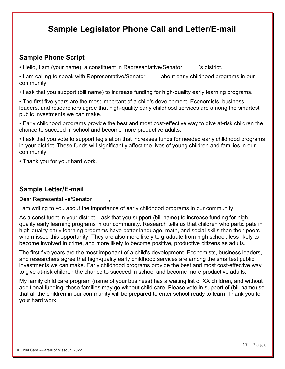## **Sample Legislator Phone Call and Letter/E-mail**

#### **Sample Phone Script**

- Hello, I am (your name), a constituent in Representative/Senator estimation is district.
- I am calling to speak with Representative/Senator about early childhood programs in our community.
- I ask that you support (bill name) to increase funding for high-quality early learning programs.

• The first five years are the most important of a child's development. Economists, business leaders, and researchers agree that high-quality early childhood services are among the smartest public investments we can make.

• Early childhood programs provide the best and most cost-effective way to give at-risk children the chance to succeed in school and become more productive adults.

• I ask that you vote to support legislation that increases funds for needed early childhood programs in your district. These funds will significantly affect the lives of young children and families in our community.

• Thank you for your hard work.

#### **Sample Letter/E-mail**

Dear Representative/Senator  $\qquad \qquad$ .

I am writing to you about the importance of early childhood programs in our community.

As a constituent in your district, I ask that you support (bill name) to increase funding for highquality early learning programs in our community. Research tells us that children who participate in high-quality early learning programs have better language, math, and social skills than their peers who missed this opportunity. They are also more likely to graduate from high school, less likely to become involved in crime, and more likely to become positive, productive citizens as adults.

The first five years are the most important of a child's development. Economists, business leaders, and researchers agree that high-quality early childhood services are among the smartest public investments we can make. Early childhood programs provide the best and most cost-effective way to give at-risk children the chance to succeed in school and become more productive adults.

My family child care program (name of your business) has a waiting list of XX children, and without additional funding, those families may go without child care. Please vote in support of (bill name) so that all the children in our community will be prepared to enter school ready to learn. Thank you for your hard work.